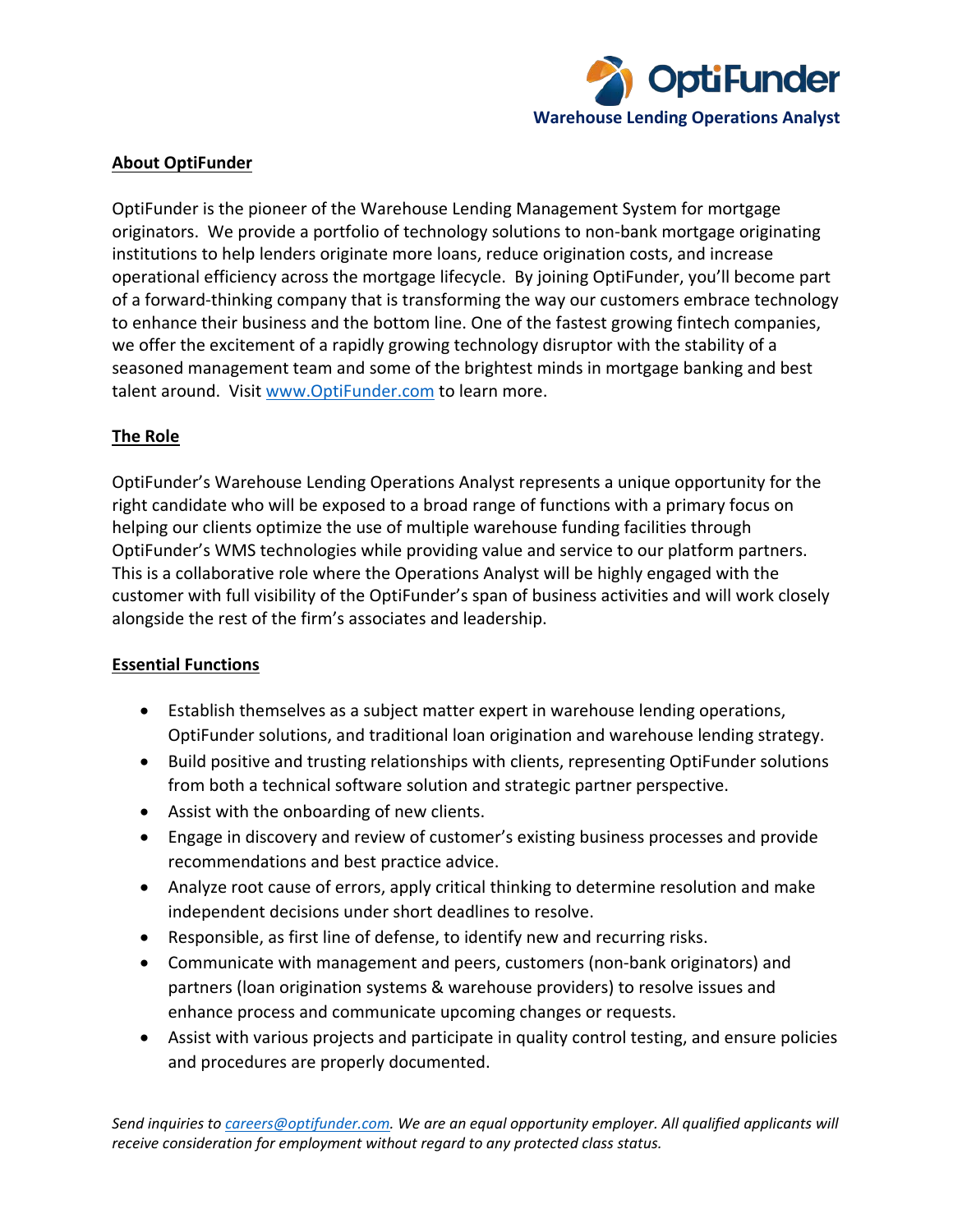

### **About OptiFunder**

OptiFunder is the pioneer of the Warehouse Lending Management System for mortgage originators. We provide a portfolio of technology solutions to non-bank mortgage originating institutions to help lenders originate more loans, reduce origination costs, and increase operational efficiency across the mortgage lifecycle. By joining OptiFunder, you'll become part of a forward-thinking company that is transforming the way our customers embrace technology to enhance their business and the bottom line. One of the fastest growing fintech companies, we offer the excitement of a rapidly growing technology disruptor with the stability of a seasoned management team and some of the brightest minds in mortgage banking and best talent around. Visit [www.OptiFunder.com](http://www.optifunder.com/) to learn more.

# **The Role**

OptiFunder's Warehouse Lending Operations Analyst represents a unique opportunity for the right candidate who will be exposed to a broad range of functions with a primary focus on helping our clients optimize the use of multiple warehouse funding facilities through OptiFunder's WMS technologies while providing value and service to our platform partners. This is a collaborative role where the Operations Analyst will be highly engaged with the customer with full visibility of the OptiFunder's span of business activities and will work closely alongside the rest of the firm's associates and leadership.

# **Essential Functions**

- Establish themselves as a subject matter expert in warehouse lending operations, OptiFunder solutions, and traditional loan origination and warehouse lending strategy.
- Build positive and trusting relationships with clients, representing OptiFunder solutions from both a technical software solution and strategic partner perspective.
- Assist with the onboarding of new clients.
- Engage in discovery and review of customer's existing business processes and provide recommendations and best practice advice.
- Analyze root cause of errors, apply critical thinking to determine resolution and make independent decisions under short deadlines to resolve.
- Responsible, as first line of defense, to identify new and recurring risks.
- Communicate with management and peers, customers (non-bank originators) and partners (loan origination systems & warehouse providers) to resolve issues and enhance process and communicate upcoming changes or requests.
- Assist with various projects and participate in quality control testing, and ensure policies and procedures are properly documented.

*Send inquiries t[o careers@optifunder.com.](mailto:careers@optifunder.com) We are an equal opportunity employer. All qualified applicants will receive consideration for employment without regard to any protected class status.*